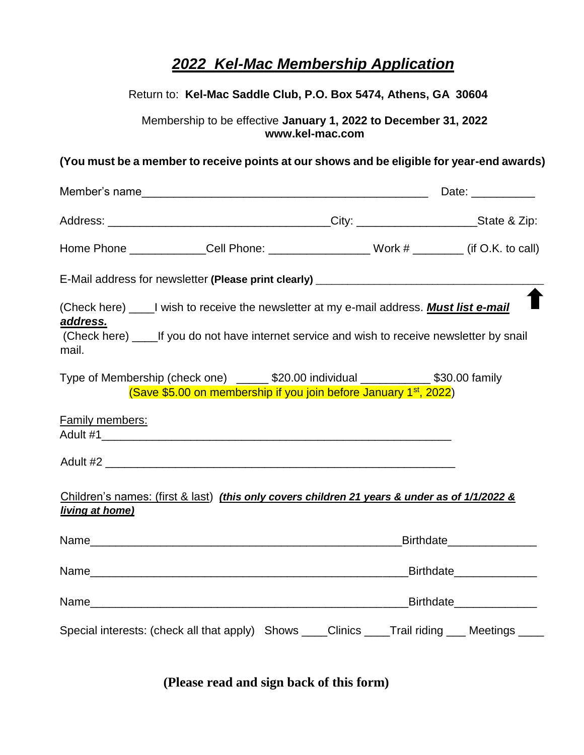# *2022 Kel-Mac Membership Application*

## Return to: **Kel-Mac Saddle Club, P.O. Box 5474, Athens, GA 30604**

Membership to be effective **January 1, 2022 to December 31, 2022 www.kel-mac.com**

#### **(You must be a member to receive points at our shows and be eligible for year-end awards)**

|                                                                                                                  |                                                                                                                                                                                                    |  | Date: ____________                 |  |
|------------------------------------------------------------------------------------------------------------------|----------------------------------------------------------------------------------------------------------------------------------------------------------------------------------------------------|--|------------------------------------|--|
|                                                                                                                  |                                                                                                                                                                                                    |  |                                    |  |
|                                                                                                                  | Home Phone ______________Cell Phone: ____________________Work # _________ (if O.K. to call)                                                                                                        |  |                                    |  |
|                                                                                                                  | E-Mail address for newsletter (Please print clearly) ___________________________                                                                                                                   |  |                                    |  |
| address.<br>mail.                                                                                                | (Check here) _____I wish to receive the newsletter at my e-mail address. <b>Must list e-mail</b><br>(Check here) _____ If you do not have internet service and wish to receive newsletter by snail |  |                                    |  |
|                                                                                                                  | Type of Membership (check one) ______ \$20.00 individual ____________ \$30.00 family<br>(Save \$5.00 on membership if you join before January 1 <sup>st</sup> , 2022)                              |  |                                    |  |
| Family members:                                                                                                  |                                                                                                                                                                                                    |  |                                    |  |
|                                                                                                                  |                                                                                                                                                                                                    |  |                                    |  |
| Children's names: (first & last) (this only covers children 21 years & under as of 1/1/2022 &<br>living at home) |                                                                                                                                                                                                    |  |                                    |  |
|                                                                                                                  |                                                                                                                                                                                                    |  | Birthdate <b>Exercise Exercise</b> |  |
|                                                                                                                  |                                                                                                                                                                                                    |  |                                    |  |
|                                                                                                                  |                                                                                                                                                                                                    |  |                                    |  |
|                                                                                                                  | Special interests: (check all that apply) Shows ____Clinics ____Trail riding ___ Meetings ____                                                                                                     |  |                                    |  |

**(Please read and sign back of this form)**